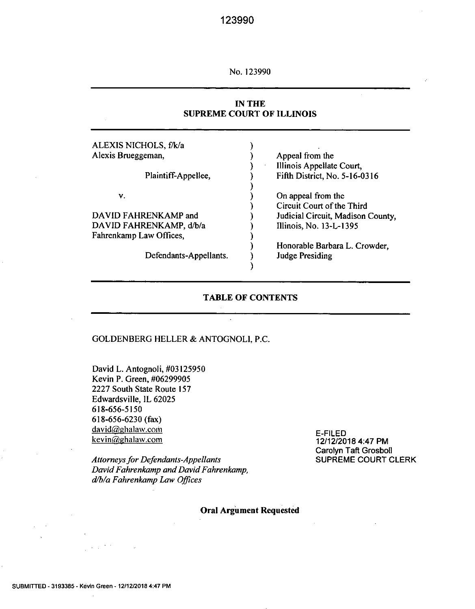No. 123990

### **IN THE SUPREME COURT OF ILLINOIS**

| Appeal from the                   |
|-----------------------------------|
| Illinois Appellate Court,         |
| Fifth District, No. 5-16-0316     |
|                                   |
| On appeal from the                |
| Circuit Court of the Third        |
| Judicial Circuit, Madison County, |
| Illinois, No. 13-L-1395           |
|                                   |
| Honorable Barbara L. Crowder,     |
| <b>Judge Presiding</b>            |
|                                   |

### **TABLE OF CONTENTS**

l,

#### GOLDENBERG HELLER & ANTOGNOLI, P.C.

David L. Antognoli, #03 125950 Kevin P. Green, #06299905 2227 South State Route 157 Edwardsville, IL 62025 618-656-5150 618-656-6230 (fax) david@ghalaw.com kevin@ghalaw.com

*Attorneys for Defendants-Appellants David Fahrenkamp and David Fahrenkamp, dlb/a Fahrenkamp Law Offices* 

E-FILED 12/12/2018 4:47 PM Carolyn Taft Grosboll SUPREME COURT CLERK

#### Oral Argument Requested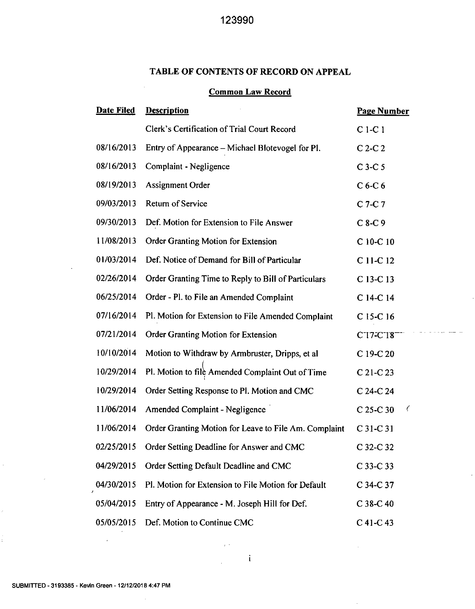## **TABLE OF CONTENTS OF RECORD ON APPEAL**

## Common Law Record

| Date Filed | <b>Description</b>                                    | <b>Page Number</b>               |
|------------|-------------------------------------------------------|----------------------------------|
|            | Clerk's Certification of Trial Court Record           | $C1-C1$                          |
| 08/16/2013 | Entry of Appearance – Michael Blotevogel for Pl.      | $C$ 2- $C$ 2                     |
| 08/16/2013 | Complaint - Negligence                                | $C$ 3- $C$ 5                     |
| 08/19/2013 | <b>Assignment Order</b>                               | $C6-C6$                          |
| 09/03/2013 | <b>Return of Service</b>                              | $C$ 7-C 7                        |
| 09/30/2013 | Def. Motion for Extension to File Answer              | $C8-C9$                          |
| 11/08/2013 | Order Granting Motion for Extension                   | C 10-C 10                        |
| 01/03/2014 | Def. Notice of Demand for Bill of Particular          | C 11-C 12                        |
| 02/26/2014 | Order Granting Time to Reply to Bill of Particulars   | C 13-C 13                        |
| 06/25/2014 | Order - Pl. to File an Amended Complaint              | C 14-C 14                        |
| 07/16/2014 | Pl. Motion for Extension to File Amended Complaint    | C 15-C 16                        |
| 07/21/2014 | Order Granting Motion for Extension                   | C <sub>17</sub> -C <sub>18</sub> |
| 10/10/2014 | Motion to Withdraw by Armbruster, Dripps, et al.      | C 19-C 20                        |
| 10/29/2014 | Pl. Motion to file Amended Complaint Out of Time      | $C$ 21-C 23                      |
| 10/29/2014 | Order Setting Response to Pl. Motion and CMC          | C 24-C 24                        |
| 11/06/2014 | <b>Amended Complaint - Negligence</b>                 | Ç<br>$C$ 25-C 30                 |
| 11/06/2014 | Order Granting Motion for Leave to File Am. Complaint | $C31-C31$                        |
| 02/25/2015 | Order Setting Deadline for Answer and CMC             | C 32-C 32                        |
| 04/29/2015 | Order Setting Default Deadline and CMC                | C 33-C 33                        |
| 04/30/2015 | Pl. Motion for Extension to File Motion for Default   | C 34-C 37                        |
| 05/04/2015 | Entry of Appearance - M. Joseph Hill for Def.         | $C$ 38-C 40                      |
| 05/05/2015 | Def. Motion to Continue CMC                           | C 41-C 43                        |

الكافية الكاديات بالد

 $\bar{z}$ 

 $\gamma_{\rm eff}$  .

 $\overline{\phantom{a}}$ 

J,

ł,

 $\frac{1}{2}$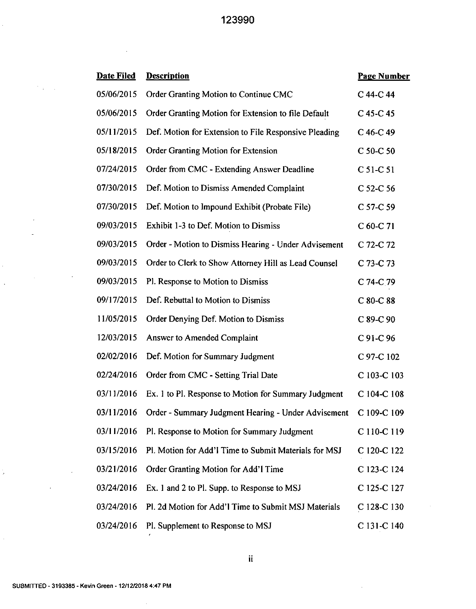$\bar{z}$ 

| <b>Date Filed</b> | <b>Description</b>                                    | <b>Page Number</b> |
|-------------------|-------------------------------------------------------|--------------------|
| 05/06/2015        | Order Granting Motion to Continue CMC                 | C 44-C 44          |
| 05/06/2015        | Order Granting Motion for Extension to file Default   | $C$ 45-C 45        |
| 05/11/2015        | Def. Motion for Extension to File Responsive Pleading | C 46-C 49          |
| 05/18/2015        | Order Granting Motion for Extension                   | C 50-C 50          |
| 07/24/2015        | Order from CMC - Extending Answer Deadline            | C 51-C 51          |
| 07/30/2015        | Def. Motion to Dismiss Amended Complaint              | C 52-C 56          |
| 07/30/2015        | Def. Motion to Impound Exhibit (Probate File)         | C 57-C 59          |
| 09/03/2015        | Exhibit 1-3 to Def. Motion to Dismiss                 | $C$ 60-C 71        |
| 09/03/2015        | Order - Motion to Dismiss Hearing - Under Advisement  | C 72-C 72          |
| 09/03/2015        | Order to Clerk to Show Attorney Hill as Lead Counsel  | C 73-C 73          |
| 09/03/2015        | Pl. Response to Motion to Dismiss                     | C 74-C 79          |
| 09/17/2015        | Def. Rebuttal to Motion to Dismiss                    | $C$ 80- $C$ 88     |
| 11/05/2015        | Order Denying Def. Motion to Dismiss                  | $C$ 89- $C$ 90     |
| 12/03/2015        | Answer to Amended Complaint                           | C 91-C 96          |
| 02/02/2016        | Def. Motion for Summary Judgment                      | C 97-C 102         |
| 02/24/2016        | Order from CMC - Setting Trial Date                   | C 103-C 103        |
| 03/11/2016        | Ex. 1 to Pl. Response to Motion for Summary Judgment  | C 104-C 108        |
| 03/11/2016        | Order - Summary Judgment Hearing - Under Advisement   | C 109-C 109        |
| 03/11/2016        | Pl. Response to Motion for Summary Judgment           | C 110-C 119        |
| 03/15/2016        | Pl. Motion for Add'l Time to Submit Materials for MSJ | C 120-C 122        |
| 03/21/2016        | Order Granting Motion for Add'l Time                  | C 123-C 124        |
| 03/24/2016        | Ex. 1 and 2 to Pl. Supp. to Response to MSJ           | C 125-C 127        |
| 03/24/2016        | Pl. 2d Motion for Add'l Time to Submit MSJ Materials  | $C$ 128-C 130      |
| 03/24/2016        | Pl. Supplement to Response to MSJ                     | C 131-C 140        |

 $\bar{\beta}$ 

 $\cdot$ 

 $\sim$ 

 $\ddot{\phantom{0}}$ 

 $\mathcal{F}(\mathbf{r})$  and

 $\bar{z}$ 

 $\label{eq:2.1} \frac{1}{\sqrt{2}}\int_{0}^{\infty}\frac{1}{\sqrt{2\pi}}\left(\frac{1}{\sqrt{2}}\right)^{2}d\mu_{\rm{eff}}$ 

 $\ddot{\phantom{0}}$ 

 $\sim$ 

 $\ddot{\phantom{0}}$ 

 $\boldsymbol{\cdot}$ 

 $\ddot{\phantom{0}}$ 

 $\frac{1}{2}$ 

 $\hat{\boldsymbol{\beta}}$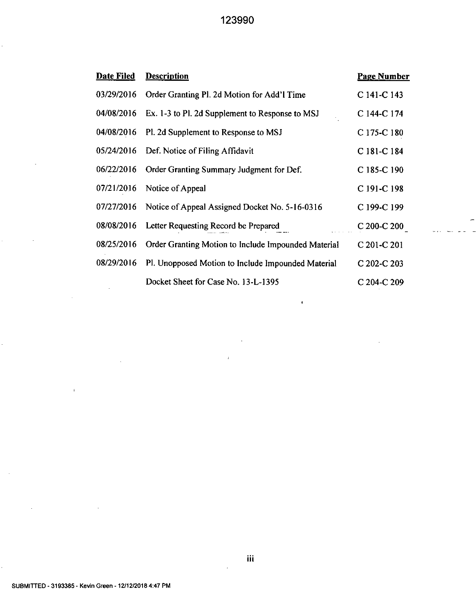| <b>Date Filed</b> | <b>Description</b>                                  | <b>Page Number</b> |
|-------------------|-----------------------------------------------------|--------------------|
| 03/29/2016        | Order Granting Pl. 2d Motion for Add'l Time         | C 141-C 143        |
| 04/08/2016        | Ex. 1-3 to Pl. 2d Supplement to Response to MSJ     | C 144-C 174        |
| 04/08/2016        | Pl. 2d Supplement to Response to MSJ                | C 175-C 180        |
| 05/24/2016        | Def. Notice of Filing Affidavit                     | C 181-C 184        |
| 06/22/2016        | Order Granting Summary Judgment for Def.            | C 185-C 190        |
| 07/21/2016        | Notice of Appeal                                    | C 191-C 198        |
| 07/27/2016        | Notice of Appeal Assigned Docket No. 5-16-0316      | C 199-C 199        |
| 08/08/2016        | Letter Requesting Record be Prepared                | $C$ 200-C 200      |
| 08/25/2016        | Order Granting Motion to Include Impounded Material | C 201-C 201        |
| 08/29/2016        | Pl. Unopposed Motion to Include Impounded Material  | C 202-C 203        |
|                   | Docket Sheet for Case No. 13-L-1395                 | C 204-C 209        |

 $\ddot{\phantom{a}}$ 

 $\overline{1}$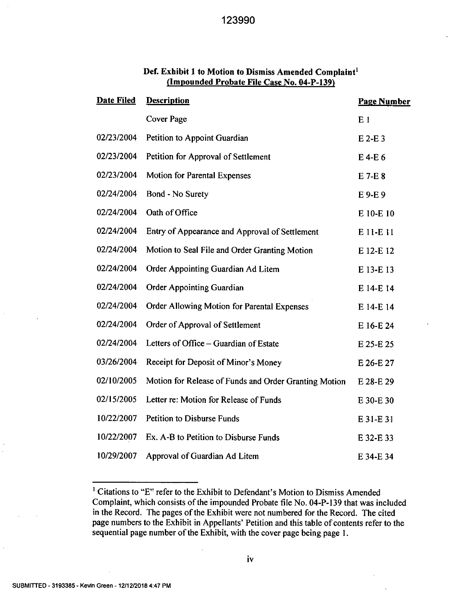| <b>Date Filed</b> | <b>Description</b>                                    | <b>Page Number</b> |
|-------------------|-------------------------------------------------------|--------------------|
|                   | <b>Cover Page</b>                                     | E <sub>1</sub>     |
| 02/23/2004        | Petition to Appoint Guardian                          | $E$ 2-E 3          |
| 02/23/2004        | Petition for Approval of Settlement                   | $E$ 4-E 6          |
| 02/23/2004        | Motion for Parental Expenses                          | $E$ 7-E $8$        |
| 02/24/2004        | Bond - No Surety                                      | E9-E9              |
| 02/24/2004        | Oath of Office                                        | E 10-E 10          |
| 02/24/2004        | Entry of Appearance and Approval of Settlement        | E 11-E 11          |
| 02/24/2004        | Motion to Seal File and Order Granting Motion         | E 12-E 12          |
| 02/24/2004        | Order Appointing Guardian Ad Litem                    | E 13-E 13          |
| 02/24/2004        | <b>Order Appointing Guardian</b>                      | E 14-E 14          |
| 02/24/2004        | Order Allowing Motion for Parental Expenses           | E 14-E 14          |
| 02/24/2004        | Order of Approval of Settlement                       | E 16-E 24          |
| 02/24/2004        | Letters of Office – Guardian of Estate                | E 25-E 25          |
| 03/26/2004        | Receipt for Deposit of Minor's Money                  | E 26-E 27          |
| 02/10/2005        | Motion for Release of Funds and Order Granting Motion | E 28-E 29          |
| 02/15/2005        | Letter re: Motion for Release of Funds                | E 30-E 30          |
| 10/22/2007        | <b>Petition to Disburse Funds</b>                     | E 31-E 31          |
| 10/22/2007        | Ex. A-B to Petition to Disburse Funds                 | E 32-E 33          |
| 10/29/2007        | Approval of Guardian Ad Litem                         | E 34-E 34          |

## Def. Exhibit 1 to Motion to Dismiss Amended Complaint' (Impounded Probate File Case No. 04-P-139)

<sup>&</sup>lt;sup>1</sup> Citations to "E" refer to the Exhibit to Defendant's Motion to Dismiss Amended Complaint, which consists of the impounded Probate file No. 04-P-139 that was included in the Record. The pages of the Exhibit were not numbered for the Record. The cited page numbers to the Exhibit in Appellants' Petition and this table of contents refer to the sequential page number of the Exhibit, with the cover page being page 1.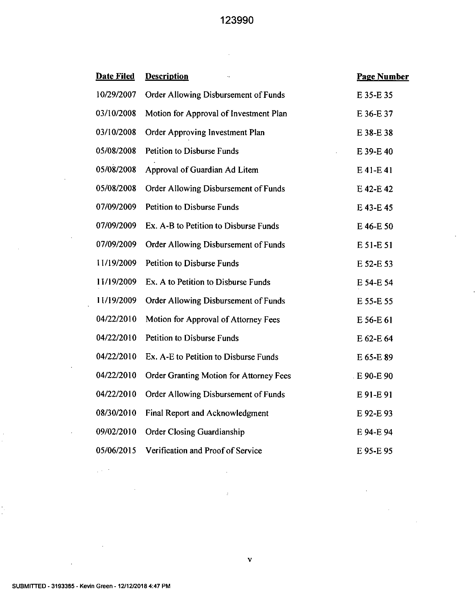i,

| <b>Date Filed</b> | <b>Description</b>                             | <b>Page Number</b> |
|-------------------|------------------------------------------------|--------------------|
| 10/29/2007        | Order Allowing Disbursement of Funds           | E 35-E 35          |
| 03/10/2008        | Motion for Approval of Investment Plan         | E 36-E 37          |
| 03/10/2008        | Order Approving Investment Plan                | E 38-E 38          |
| 05/08/2008        | <b>Petition to Disburse Funds</b>              | E 39-E 40          |
| 05/08/2008        | Approval of Guardian Ad Litem                  | E 41-E 41          |
| 05/08/2008        | Order Allowing Disbursement of Funds           | E 42-E 42          |
| 07/09/2009        | <b>Petition to Disburse Funds</b>              | E 43-E 45          |
| 07/09/2009        | Ex. A-B to Petition to Disburse Funds          | E 46-E 50          |
| 07/09/2009        | Order Allowing Disbursement of Funds           | E 51-E 51          |
| 11/19/2009        | Petition to Disburse Funds                     | E 52-E 53          |
| 11/19/2009        | Ex. A to Petition to Disburse Funds            | E 54-E 54          |
| 11/19/2009        | Order Allowing Disbursement of Funds           | E 55-E 55          |
| 04/22/2010        | Motion for Approval of Attorney Fees           | E 56-E 61          |
| 04/22/2010        | Petition to Disburse Funds                     | E 62-E 64          |
| 04/22/2010        | Ex. A-E to Petition to Disburse Funds          | E 65-E 89          |
| 04/22/2010        | <b>Order Granting Motion for Attorney Fees</b> | E 90-E 90          |
| 04/22/2010        | Order Allowing Disbursement of Funds           | E 91-E 91          |
| 08/30/2010        | Final Report and Acknowledgment                | E 92-E 93          |
| 09/02/2010        | <b>Order Closing Guardianship</b>              | E 94-E 94          |
| 05/06/2015        | Verification and Proof of Service              | E 95-E 95          |

 $\bar{z}$ 

 $\Delta \sim 10^4$ 

 $\sim 10^{-1}$ 

 $\bar{z}$ 

 $\sim$ 

 $\bar{z}$ 

 $\bar{z}$ 

 $\hat{\mathcal{A}}$ 

 $\bar{z}$ 

 $\epsilon$ 

 $\bar{\mathbf{r}}$ 

 $\bar{z}$ 

 $\bar{z}$ 

 $\bar{z}$ 

 $\pm$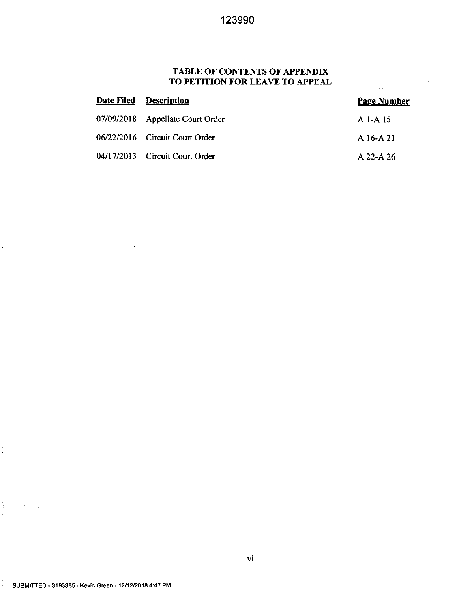## **TABLE OF CONTENTS OF APPENDIX TO PETITION FOR LEAVE TO APPEAL**

| <b>Date Filed Description</b>    | <b>Page Number</b> |
|----------------------------------|--------------------|
| 07/09/2018 Appellate Court Order | A 1-A 15           |
| 06/22/2016 Circuit Court Order   | A 16-A 21          |
| 04/17/2013 Circuit Court Order   | A 22-A 26          |

 $\sim 1$ 

 $\bar{a}$ 

 $\ddot{\phantom{a}}$ 

 $\cdot$ 

l,

 $\frac{1}{2}$ 

 $\frac{1}{2}$ 

 $\bar{z}$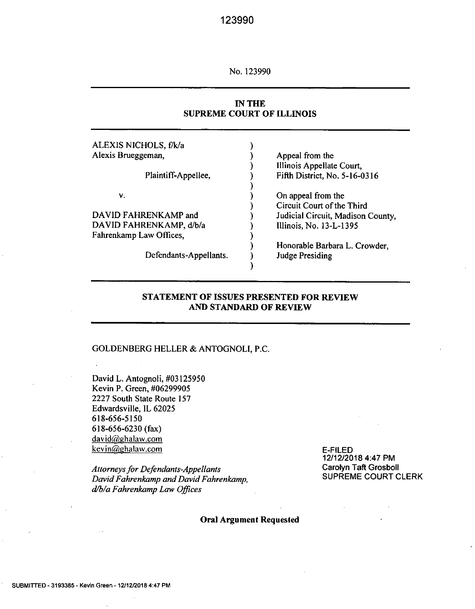No. 123990

## **IN THE SUPREME COURT OF ILLINOIS**

| Appeal from the                   |
|-----------------------------------|
| Illinois Appellate Court,         |
| Fifth District, No. 5-16-0316     |
|                                   |
| On appeal from the                |
| Circuit Court of the Third        |
| Judicial Circuit, Madison County, |
| Illinois, No. 13-L-1395           |
|                                   |
| Honorable Barbara L. Crowder,     |
| Judge Presiding                   |
|                                   |
|                                   |

### **STATEMENT OF ISSUES PRESENTED FOR REVIEW AND STANDARD OF REVIEW**

#### GOLDENBERG HELLER & ANTOGNOLI, P.C.

David L. Antognoli, #03125950 Kevin P. Green, #06299905 2227 South State Route 157 Edwardsville, IL 62025 618-656-5150 618-656-6230 (fax) david@ghalaw.com kevin@ghalaw.com

*Attorneys for Defendants-Appellants David Fahrenkamp and David Fahrenkamp, dibla Fahrenkamp Law Offices* 

E-FILED 12/12/2018 4:47 PM Carolyn Taft Grosboll SUPREME COURT CLERK

Oral Argument Requested

 $\overline{\phantom{a}}$